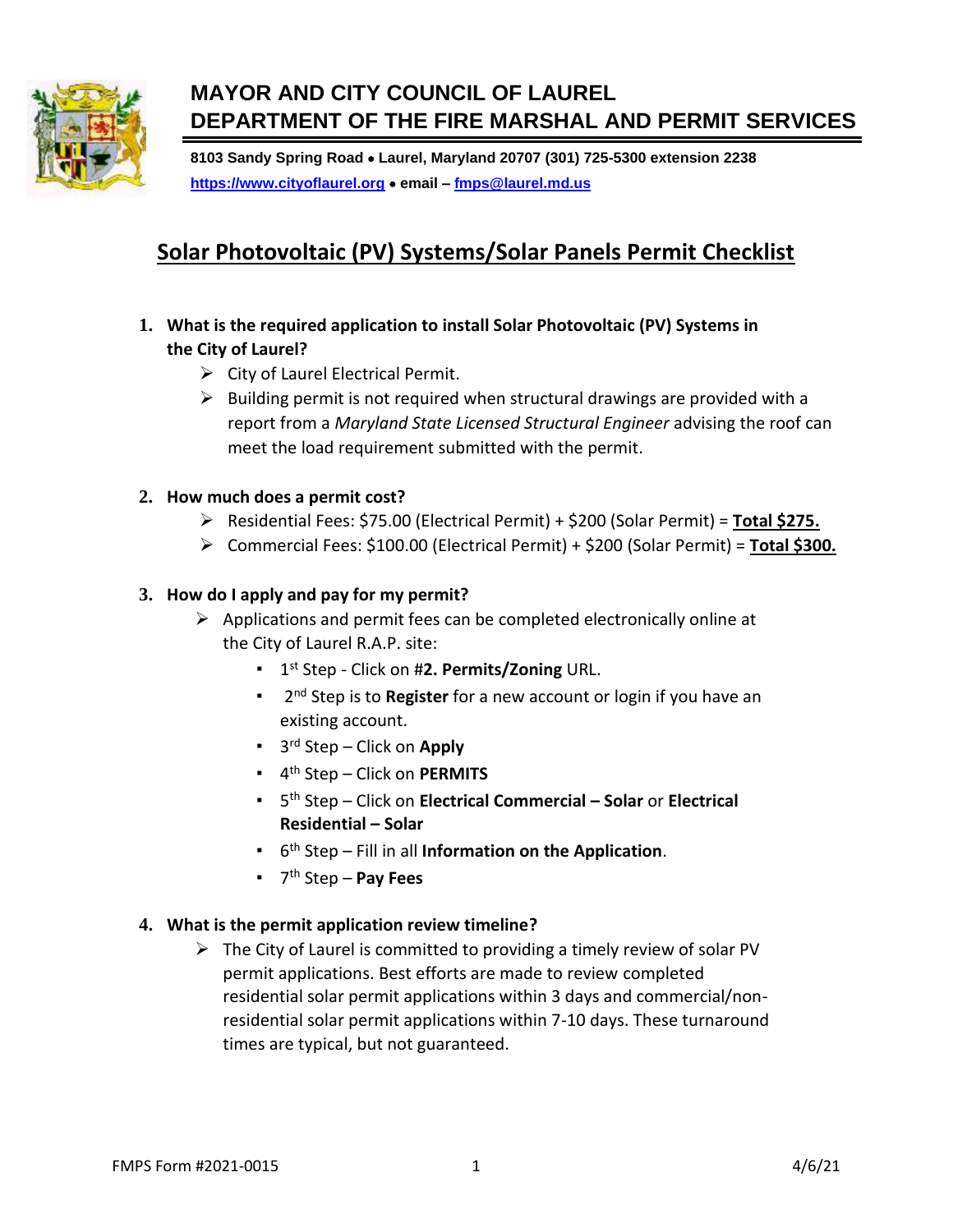

# **MAYOR AND CITY COUNCIL OF LAUREL DEPARTMENT OF THE FIRE MARSHAL AND PERMIT SERVICES**

**8103 Sandy Spring Road** • **Laurel, Maryland 20707 (301) 725-5300 extension 2238 [https://www.](http://www.laurel.md.us/)cityoflaurel.org** • **email – [fmps@laurel.md.us](mailto:fmps@laurel.md.us)**

# **Solar Photovoltaic (PV) Systems/Solar Panels Permit Checklist**

- **1. What is the required application to install Solar Photovoltaic (PV) Systems in the City of Laurel?** 
	- $\triangleright$  City of Laurel Electrical Permit.
	- $\triangleright$  Building permit is not required when structural drawings are provided with a report from a *Maryland State Licensed Structural Engineer* advising the roof can meet the load requirement submitted with the permit.
- **2. How much does a permit cost?**
	- ➢ Residential Fees: \$75.00 (Electrical Permit) + \$200 (Solar Permit) = **Total \$275.**
	- ➢ Commercial Fees: \$100.00 (Electrical Permit) + \$200 (Solar Permit) = **Total \$300.**

### **3. How do I apply and pay for my permit?**

- $\triangleright$  Applications and permit fees can be completed electronically online at the City of Laurel R.A.P. site:
	- 1 st Step Click on #**2. Permits/Zoning** URL.
	- 2 nd Step is to **Register** for a new account or login if you have an existing account.
	- 3 rd Step Click on **Apply**
	- 4 th Step Click on **PERMITS**
	- 5 th Step Click on **Electrical Commercial – Solar** or **Electrical Residential – Solar**
	- 6 th Step Fill in all **Information on the Application**.
	- 7 th Step **Pay Fees**

### **4. What is the permit application review timeline?**

 $\triangleright$  The City of Laurel is committed to providing a timely review of solar PV permit applications. Best efforts are made to review completed residential solar permit applications within 3 days and commercial/nonresidential solar permit applications within 7-10 days. These turnaround times are typical, but not guaranteed.